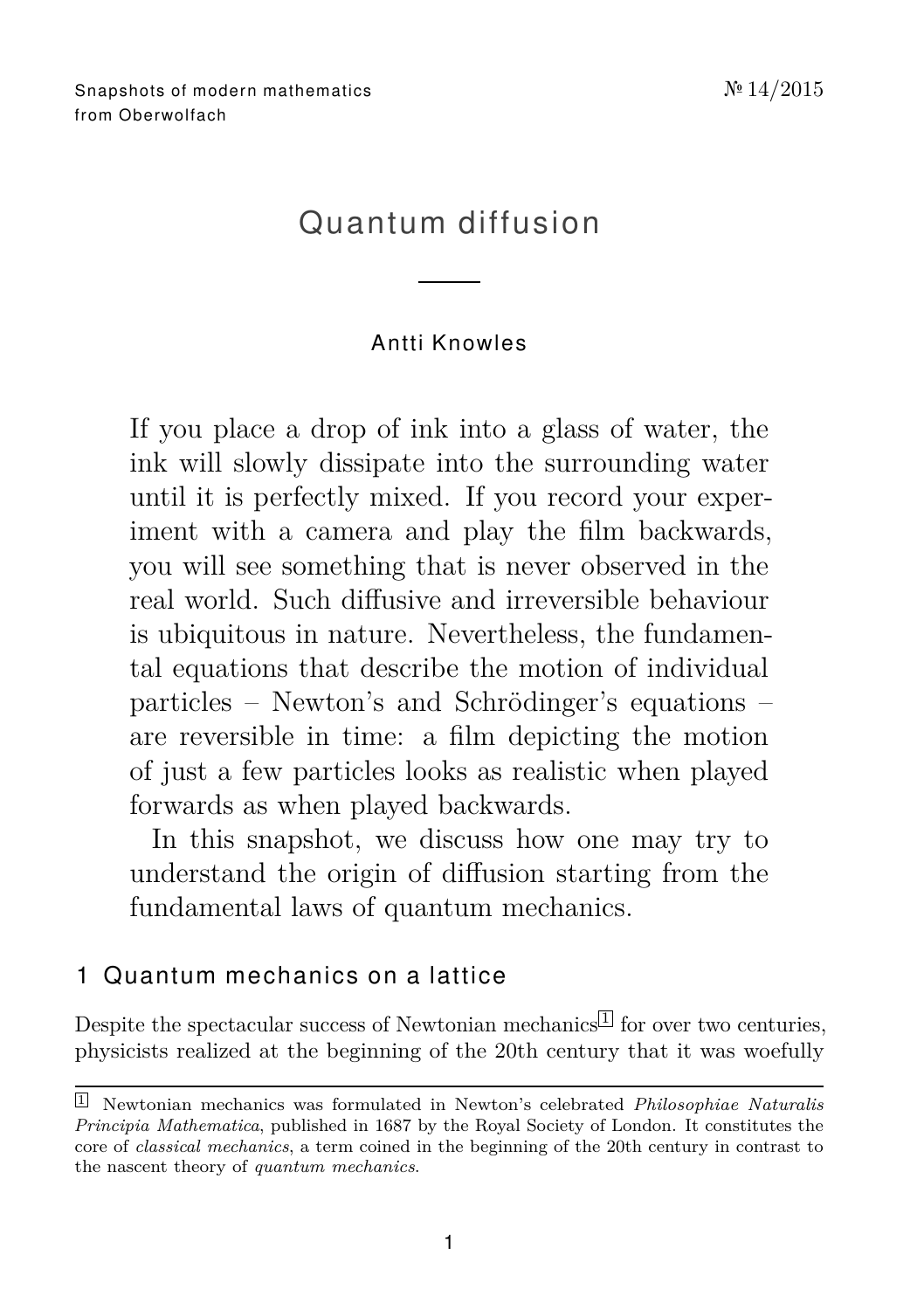# Quantum diffusion

## Antti Knowle s

If you place a drop of ink into a glass of water, the ink will slowly dissipate into the surrounding water until it is perfectly mixed. If you record your experiment with a camera and play the film backwards, you will see something that is never observed in the real world. Such diffusive and irreversible behaviour is ubiquitous in nature. Nevertheless, the fundamental equations that describe the motion of individual particles – Newton's and Schrödinger's equations – are reversible in time: a film depicting the motion of just a few particles looks as realistic when played forwards as when played backwards.

In this snapshot, we discuss how one may try to understand the origin of diffusion starting from the fundamental laws of quantum mechanics.

## 1. Quantum mechanics on a lattice

Despite the spectacular success of Newtonian mechanics  $\mathbb{L}$  for over two centuries, physicists realized at the beginning of the 20th century that it was woefully

<span id="page-0-0"></span><sup>1</sup> Newtonian mechanics was formulated in Newton's celebrated *Philosophiae Naturalis Principia Mathematica*, published in 1687 by the Royal Society of London. It constitutes the core of *classical mechanics*, a term coined in the beginning of the 20th century in contrast to the nascent theory of *quantum mechanics*.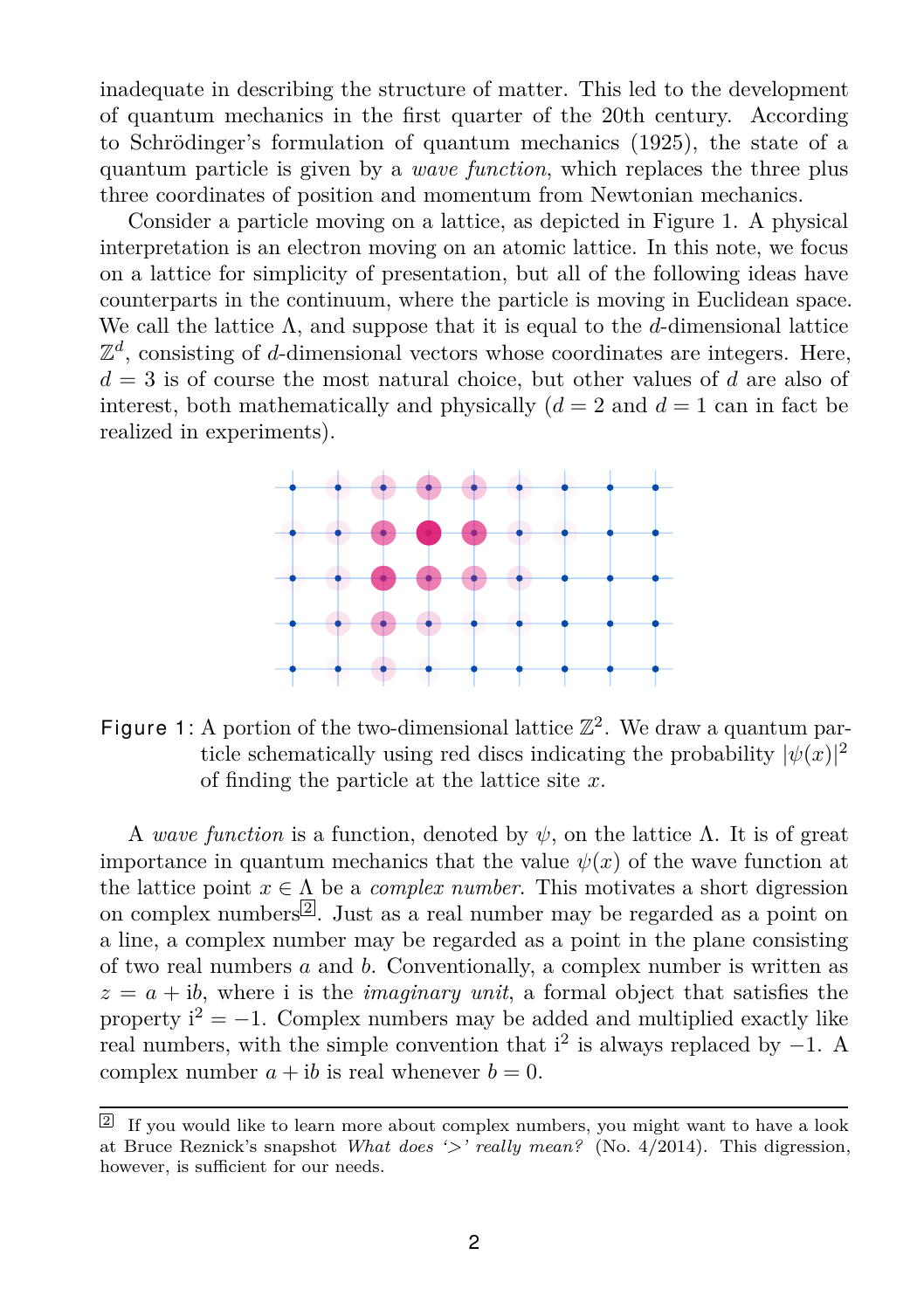inadequate in describing the structure of matter. This led to the development of quantum mechanics in the first quarter of the 20th century. According to Schrödinger's formulation of quantum mechanics (1925), the state of a quantum particle is given by a *wave function*, which replaces the three plus three coordinates of position and momentum from Newtonian mechanics.

Consider a particle moving on a lattice, as depicted in Figure [1.](#page-1-0) A physical interpretation is an electron moving on an atomic lattice. In this note, we focus on a lattice for simplicity of presentation, but all of the following ideas have counterparts in the continuum, where the particle is moving in Euclidean space. We call the lattice Λ, and suppose that it is equal to the *d*-dimensional lattice  $\mathbb{Z}^d$ , consisting of *d*-dimensional vectors whose coordinates are integers. Here, *d* = 3 is of course the most natural choice, but other values of *d* are also of interest, both mathematically and physically  $(d = 2 \text{ and } d = 1 \text{ can in fact be})$ realized in experiments).



<span id="page-1-0"></span>Figure 1: A portion of the two-dimensional lattice  $\mathbb{Z}^2$ . We draw a quantum particle schematically using red discs indicating the probability  $|\psi(x)|^2$ of finding the particle at the lattice site *x*.

A *wave function* is a function, denoted by  $\psi$ , on the lattice  $\Lambda$ . It is of great importance in quantum mechanics that the value  $\psi(x)$  of the wave function at the lattice point  $x \in \Lambda$  be a *complex number*. This motivates a short digression on complex numbers $\mathbb{Z}$ . Just as a real number may be regarded as a point on a line, a complex number may be regarded as a point in the plane consisting of two real numbers *a* and *b*. Conventionally, a complex number is written as  $z = a + ib$ , where i is the *imaginary unit*, a formal object that satisfies the property  $i^2 = -1$ . Complex numbers may be added and multiplied exactly like real numbers, with the simple convention that  $i^2$  is always replaced by  $-1$ . A complex number  $a + ib$  is real whenever  $b = 0$ .

<span id="page-1-1"></span><sup>&</sup>lt;sup>2</sup> If you would like to learn more about complex numbers, you might want to have a look at Bruce Reznick's snapshot *[What does '>' really mean?](http://www.mfo.de/math-in-public/snapshots/files/what-does-really-mean)* (No. 4/2014). This digression, however, is sufficient for our needs.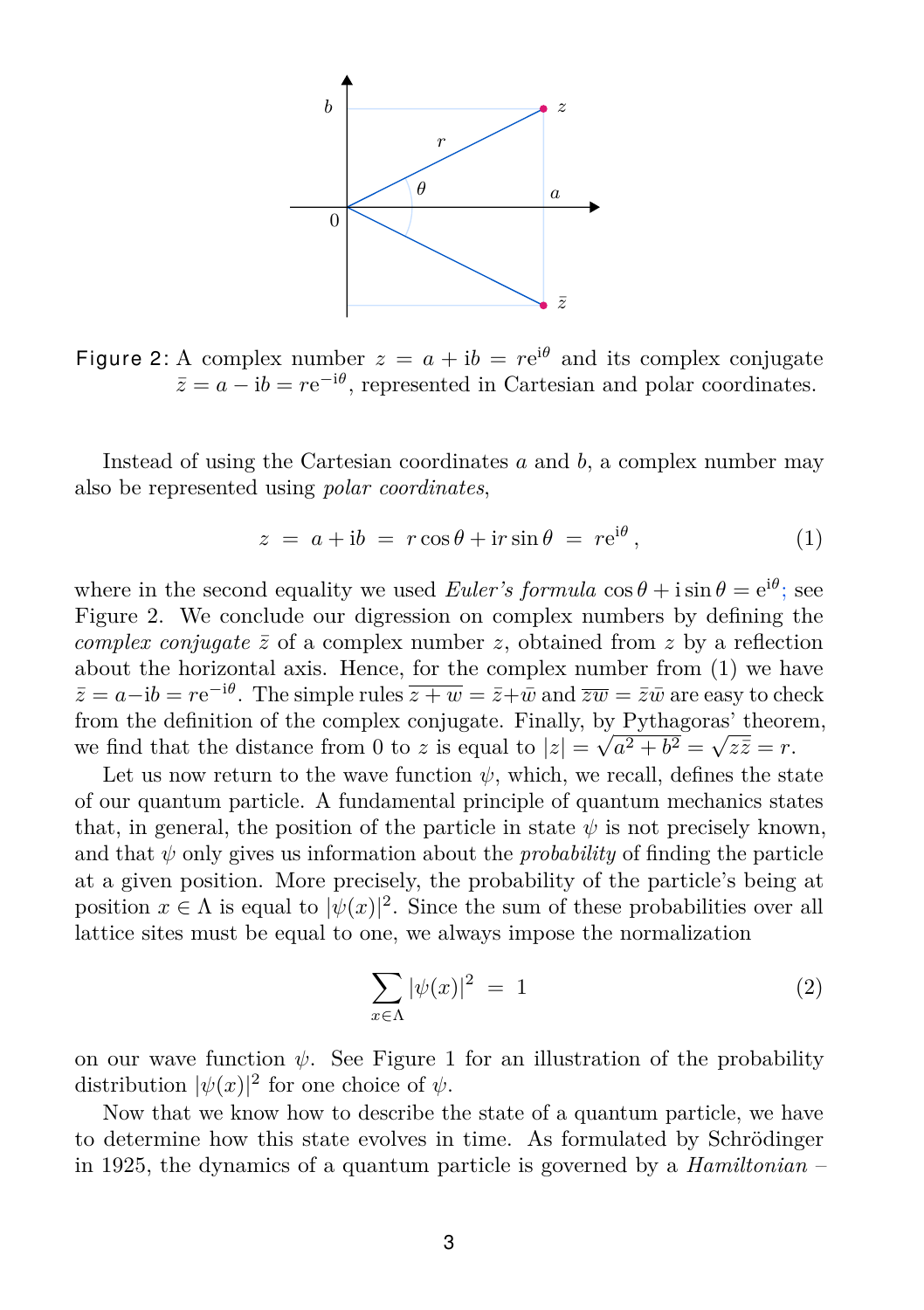

<span id="page-2-0"></span>Figure 2: A complex number  $z = a + ib = re^{i\theta}$  and its complex conjugate  $\bar{z} = a - ib = re^{-i\theta}$ , represented in Cartesian and polar coordinates.

Instead of using the Cartesian coordinates *a* and *b*, a complex number may also be represented using *polar coordinates*,

$$
z = a + ib = r \cos \theta + ir \sin \theta = re^{i\theta}, \qquad (1)
$$

<span id="page-2-1"></span>i*θ*

where in the second equality we used *Euler's formula*  $\cos \theta + i \sin \theta = e^{i\theta}$ ; see Figure [2.](#page-2-0) We conclude our digression on complex numbers by defining the *complex conjugate*  $\bar{z}$  of a complex number *z*, obtained from *z* by a reflection about the horizontal axis. Hence, for the complex number from [\(1\)](#page-2-1) we have  $\bar{z} = a - ib = re^{-i\theta}$ . The simple rules  $\overline{z + w} = \bar{z} + \bar{w}$  and  $\overline{zw} = \bar{z}\bar{w}$  are easy to check from the definition of the complex conjugate. Finally, by Pythagoras' theorem, we find that the distance from 0 to *z* is equal to  $|z| =$ √  $a^2 + b^2 = \sqrt{}$  $z\bar{z}=r.$ 

Let us now return to the wave function  $\psi$ , which, we recall, defines the state of our quantum particle. A fundamental principle of quantum mechanics states that, in general, the position of the particle in state  $\psi$  is not precisely known, and that  $\psi$  only gives us information about the *probability* of finding the particle at a given position. More precisely, the probability of the particle's being at position  $x \in \Lambda$  is equal to  $|\psi(x)|^2$ . Since the sum of these probabilities over all lattice sites must be equal to one, we always impose the normalization

<span id="page-2-2"></span>
$$
\sum_{x \in \Lambda} |\psi(x)|^2 = 1 \tag{2}
$$

on our wave function  $\psi$ . See Figure [1](#page-1-0) for an illustration of the probability distribution  $|\psi(x)|^2$  for one choice of  $\psi$ .

Now that we know how to describe the state of a quantum particle, we have to determine how this state evolves in time. As formulated by Schrödinger in 1925, the dynamics of a quantum particle is governed by a *Hamiltonian* –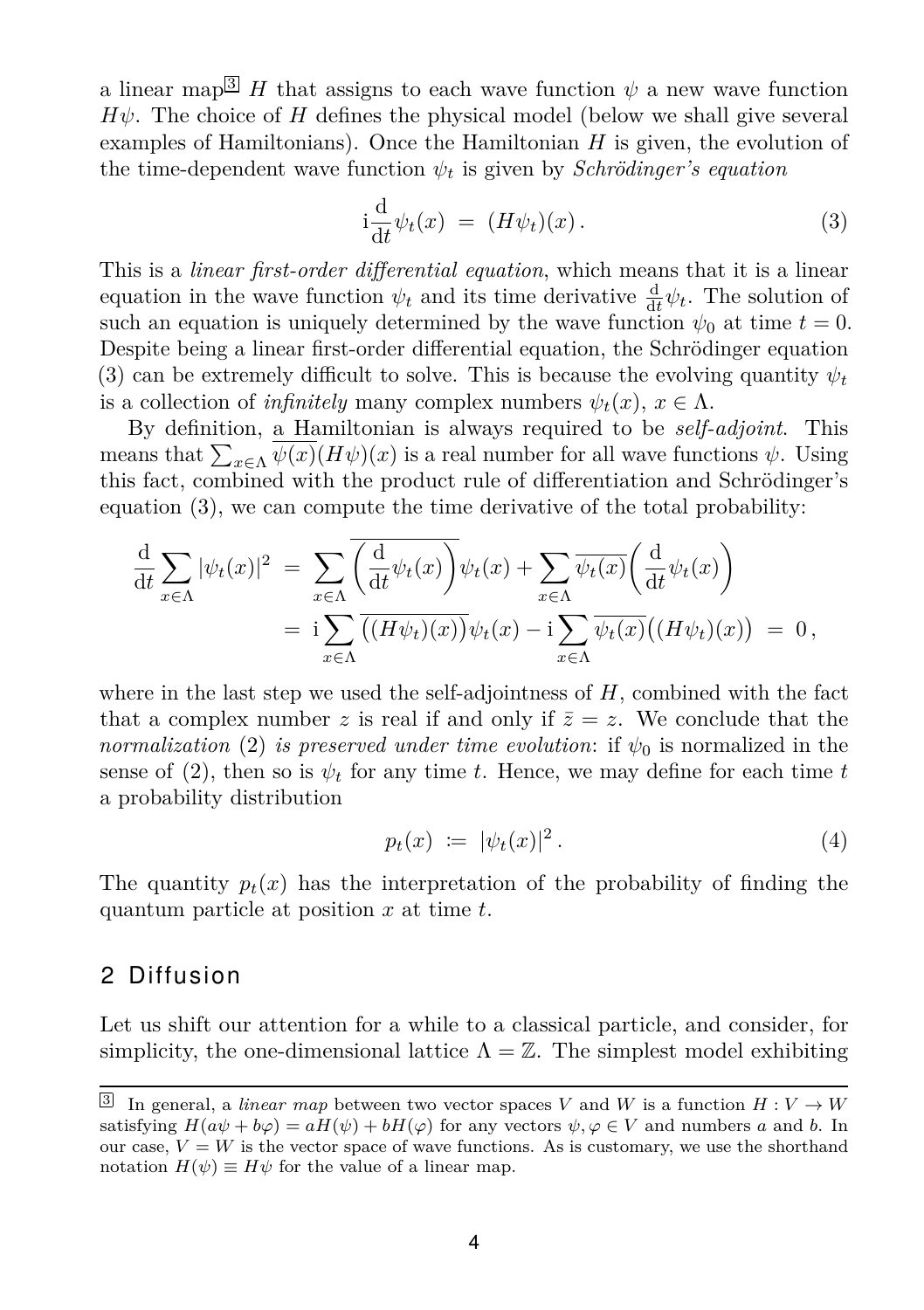a linear map <sup>[3](#page-3-0)</sup> *H* that assigns to each wave function  $\psi$  a new wave function  $H\psi$ . The choice of *H* defines the physical model (below we shall give several examples of Hamiltonians). Once the Hamiltonian *H* is given, the evolution of the time-dependent wave function  $\psi_t$  is given by *Schrödinger's equation* 

<span id="page-3-1"></span>
$$
i\frac{d}{dt}\psi_t(x) = (H\psi_t)(x). \tag{3}
$$

This is a *linear first-order differential equation*, which means that it is a linear equation in the wave function  $\psi_t$  and its time derivative  $\frac{d}{dt}\psi_t$ . The solution of such an equation is uniquely determined by the wave function  $\psi_0$  at time  $t = 0$ . Despite being a linear first-order differential equation, the Schrödinger equation [\(3\)](#page-3-1) can be extremely difficult to solve. This is because the evolving quantity  $\psi_t$ is a collection of *infinitely* many complex numbers  $\psi_t(x)$ ,  $x \in \Lambda$ .

By definition, a Hamiltonian is always required to be *self-adjoint*. This means that  $\sum_{x \in \Lambda} \psi(x) (H\psi)(x)$  is a real number for all wave functions  $\psi$ . Using this fact, combined with the product rule of differentiation and Schrödinger's equation [\(3\)](#page-3-1), we can compute the time derivative of the total probability:

$$
\frac{\mathrm{d}}{\mathrm{d}t} \sum_{x \in \Lambda} |\psi_t(x)|^2 = \sum_{x \in \Lambda} \overline{\left(\frac{\mathrm{d}}{\mathrm{d}t} \psi_t(x)\right)} \psi_t(x) + \sum_{x \in \Lambda} \overline{\psi_t(x)} \left(\frac{\mathrm{d}}{\mathrm{d}t} \psi_t(x)\right)
$$
\n
$$
= \mathrm{i} \sum_{x \in \Lambda} \overline{\left((H\psi_t)(x)\right)} \psi_t(x) - \mathrm{i} \sum_{x \in \Lambda} \overline{\psi_t(x)} \left((H\psi_t)(x)\right) = 0,
$$

where in the last step we used the self-adjointness of  $H$ , combined with the fact that a complex number *z* is real if and only if  $\bar{z} = z$ . We conclude that the *normalization* [\(2\)](#page-2-2) *is preserved under time evolution*: if  $\psi_0$  is normalized in the sense of [\(2\)](#page-2-2), then so is  $\psi_t$  for any time *t*. Hence, we may define for each time *t* a probability distribution

<span id="page-3-2"></span>
$$
p_t(x) \coloneqq |\psi_t(x)|^2. \tag{4}
$$

The quantity  $p_t(x)$  has the interpretation of the probability of finding the quantum particle at position *x* at time *t*.

#### 2 Diffusion

Let us shift our attention for a while to a classical particle, and consider, for simplicity, the one-dimensional lattice  $\Lambda = \mathbb{Z}$ . The simplest model exhibiting

<span id="page-3-0"></span><sup>&</sup>lt;sup>3</sup> In general, a *linear map* between two vector spaces *V* and *W* is a function  $H: V \to W$ satisfying  $H(a\psi + b\varphi) = aH(\psi) + bH(\varphi)$  for any vectors  $\psi, \varphi \in V$  and numbers a and b. In our case,  $V = W$  is the vector space of wave functions. As is customary, we use the shorthand notation  $H(\psi) \equiv H\psi$  for the value of a linear map.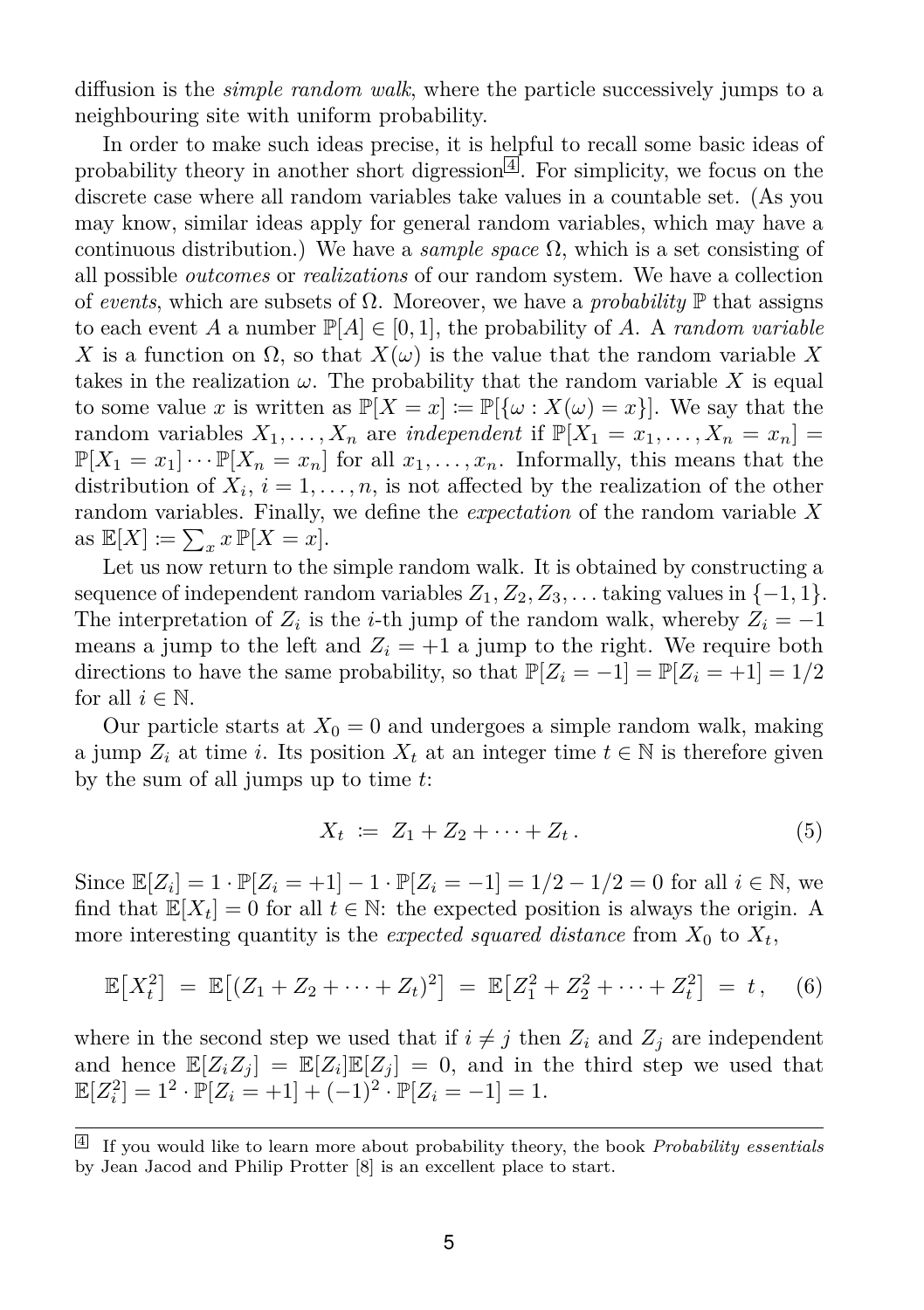diffusion is the *simple random walk*, where the particle successively jumps to a neighbouring site with uniform probability.

In order to make such ideas precise, it is helpful to recall some basic ideas of probability theory in another short digression  $\leq$ . For simplicity, we focus on the discrete case where all random variables take values in a countable set. (As you may know, similar ideas apply for general random variables, which may have a continuous distribution.) We have a *sample space* Ω, which is a set consisting of all possible *outcomes* or *realizations* of our random system. We have a collection of *events*, which are subsets of  $\Omega$ . Moreover, we have a *probability*  $\mathbb P$  that assigns to each event *A* a number  $\mathbb{P}[A] \in [0,1]$ , the probability of *A*. A *random variable X* is a function on  $\Omega$ , so that  $X(\omega)$  is the value that the random variable X takes in the realization  $\omega$ . The probability that the random variable X is equal to some value *x* is written as  $\mathbb{P}[X = x] := \mathbb{P}[\{\omega : X(\omega) = x\}].$  We say that the random variables  $X_1, \ldots, X_n$  are *independent* if  $\mathbb{P}[X_1 = x_1, \ldots, X_n = x_n] =$  $\mathbb{P}[X_1 = x_1] \cdots \mathbb{P}[X_n = x_n]$  for all  $x_1, \ldots, x_n$ . Informally, this means that the distribution of  $X_i$ ,  $i = 1, \ldots, n$ , is not affected by the realization of the other random variables. Finally, we define the *expectation* of the random variable *X* as  $\mathbb{E}[X] \coloneqq \sum_{x} x \mathbb{P}[X=x].$ 

Let us now return to the simple random walk. It is obtained by constructing a sequence of independent random variables  $Z_1, Z_2, Z_3, \ldots$  taking values in  $\{-1, 1\}$ . The interpretation of  $Z_i$  is the *i*-th jump of the random walk, whereby  $Z_i = -1$ means a jump to the left and  $Z_i = +1$  a jump to the right. We require both directions to have the same probability, so that  $\mathbb{P}[Z_i = -1] = \mathbb{P}[Z_i = +1] = 1/2$ for all  $i \in \mathbb{N}$ .

Our particle starts at  $X_0 = 0$  and undergoes a simple random walk, making a jump  $Z_i$  at time *i*. Its position  $X_t$  at an integer time  $t \in \mathbb{N}$  is therefore given by the sum of all jumps up to time *t*:

<span id="page-4-1"></span>
$$
X_t := Z_1 + Z_2 + \dots + Z_t. \tag{5}
$$

Since  $\mathbb{E}[Z_i] = 1 \cdot \mathbb{P}[Z_i = +1] - 1 \cdot \mathbb{P}[Z_i = -1] = 1/2 - 1/2 = 0$  for all  $i \in \mathbb{N}$ , we find that  $\mathbb{E}[X_t] = 0$  for all  $t \in \mathbb{N}$ : the expected position is always the origin. A more interesting quantity is the *expected squared distance* from  $X_0$  to  $X_t$ ,

$$
\mathbb{E}[X_t^2] = \mathbb{E}[(Z_1 + Z_2 + \dots + Z_t)^2] = \mathbb{E}[Z_1^2 + Z_2^2 + \dots + Z_t^2] = t, \quad (6)
$$

where in the second step we used that if  $i \neq j$  then  $Z_i$  and  $Z_j$  are independent and hence  $\mathbb{E}[Z_i Z_j] = \mathbb{E}[Z_i] \mathbb{E}[Z_j] = 0$ , and in the third step we used that  $\mathbb{E}[Z_i^2] = 1^2 \cdot \mathbb{P}[Z_i = +1] + (-1)^2 \cdot \mathbb{P}[Z_i = -1] = 1.$ 

<span id="page-4-0"></span><sup>4</sup> If you would like to learn more about probability theory, the book *Probability essentials* by Jean Jacod and Philip Protter [\[8\]](#page-11-0) is an excellent place to start.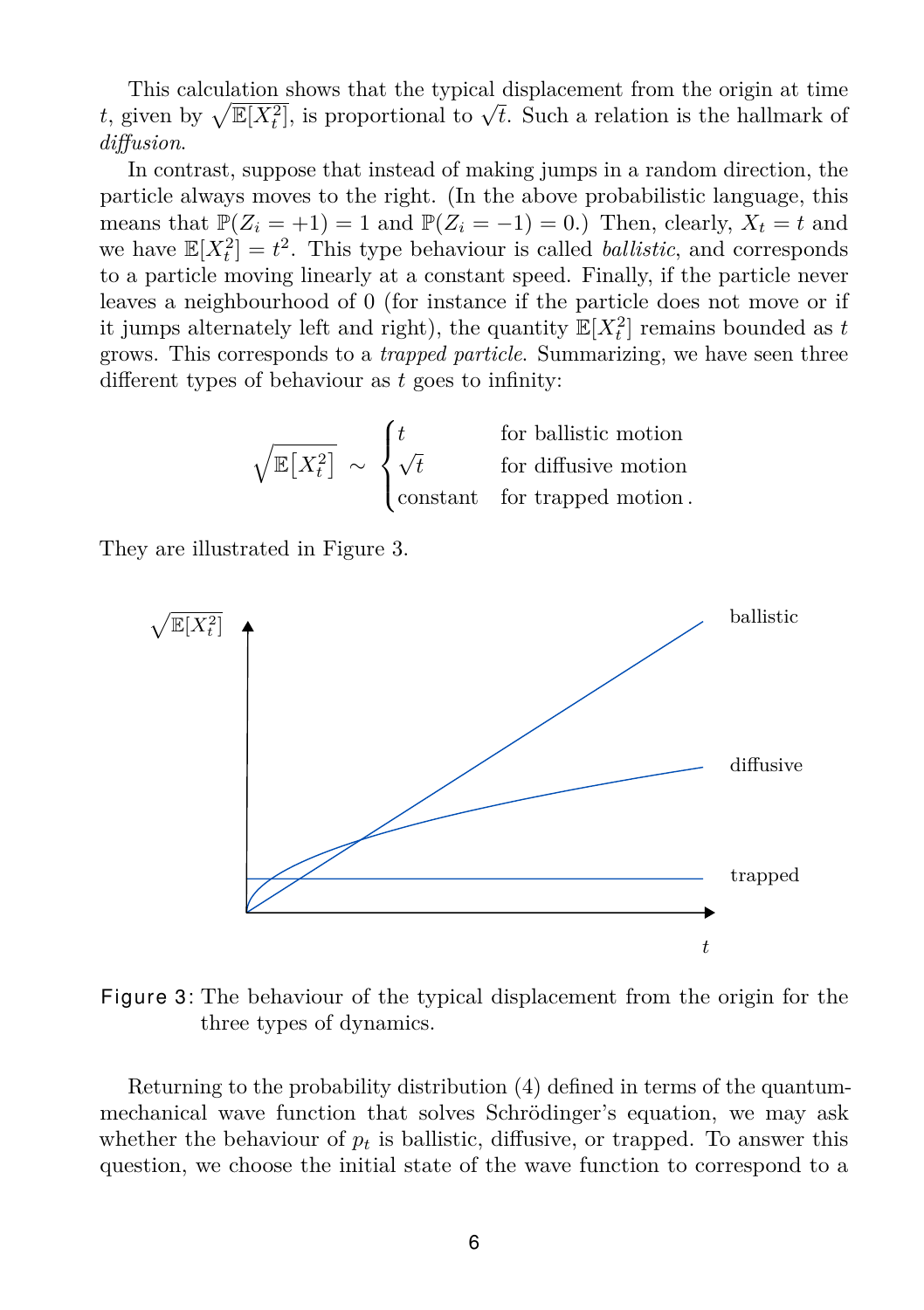This calculation shows that the typical displacement from the origin at time *t*, given by  $\sqrt{\mathbb{E}[X_t^2]}$ , is proportional to  $\sqrt{t}$ . Such a relation is the hallmark of *diffusion*.

In contrast, suppose that instead of making jumps in a random direction, the particle always moves to the right. (In the above probabilistic language, this means that  $\mathbb{P}(Z_i = +1) = 1$  and  $\mathbb{P}(Z_i = -1) = 0$ .) Then, clearly,  $X_t = t$  and we have  $\mathbb{E}[X_t^2] = t^2$ . This type behaviour is called *ballistic*, and corresponds to a particle moving linearly at a constant speed. Finally, if the particle never leaves a neighbourhood of 0 (for instance if the particle does not move or if it jumps alternately left and right), the quantity  $\mathbb{E}[X_t^2]$  remains bounded as *t* grows. This corresponds to a *trapped particle*. Summarizing, we have seen three different types of behaviour as *t* goes to infinity:

$$
\sqrt{\mathbb{E}\left[X_t^2\right]} \sim \begin{cases} t & \text{for ballistic motion} \\ \sqrt{t} & \text{for diffusive motion} \\ \text{constant} & \text{for trapped motion} \end{cases}
$$

They are illustrated in Figure [3.](#page-5-0)



<span id="page-5-0"></span>Figure 3: The behaviour of the typical displacement from the origin for the three types of dynamics.

Returning to the probability distribution [\(4\)](#page-3-2) defined in terms of the quantummechanical wave function that solves Schrödinger's equation, we may ask whether the behaviour of  $p_t$  is ballistic, diffusive, or trapped. To answer this question, we choose the initial state of the wave function to correspond to a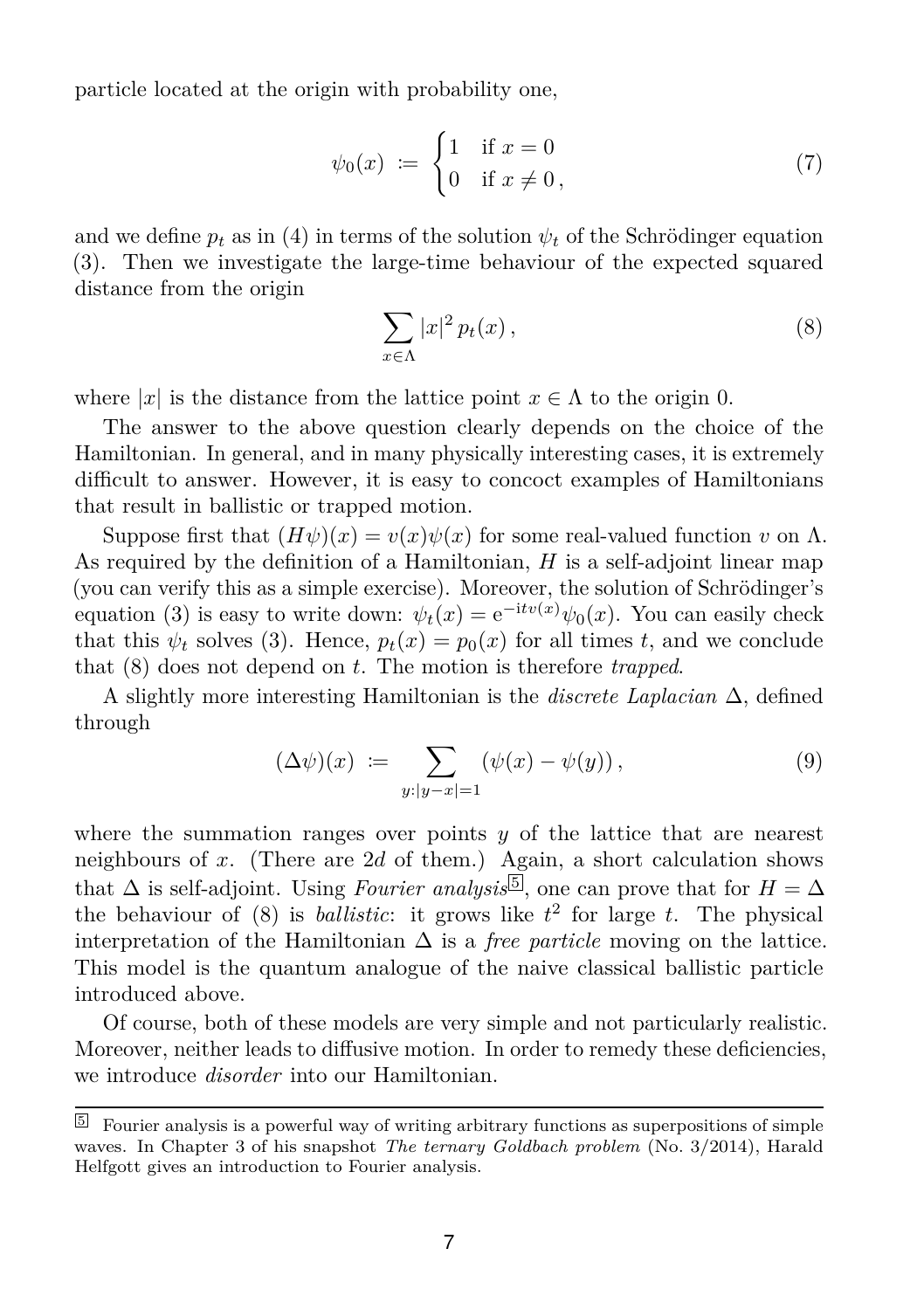particle located at the origin with probability one,

$$
\psi_0(x) := \begin{cases} 1 & \text{if } x = 0 \\ 0 & \text{if } x \neq 0, \end{cases}
$$
 (7)

and we define  $p_t$  as in [\(4\)](#page-3-2) in terms of the solution  $\psi_t$  of the Schrödinger equation [\(3\)](#page-3-1). Then we investigate the large-time behaviour of the expected squared distance from the origin

<span id="page-6-0"></span>
$$
\sum_{x \in \Lambda} |x|^2 p_t(x), \tag{8}
$$

where |*x*| is the distance from the lattice point  $x \in \Lambda$  to the origin 0.

The answer to the above question clearly depends on the choice of the Hamiltonian. In general, and in many physically interesting cases, it is extremely difficult to answer. However, it is easy to concoct examples of Hamiltonians that result in ballistic or trapped motion.

Suppose first that  $(H\psi)(x) = v(x)\psi(x)$  for some real-valued function *v* on  $\Lambda$ . As required by the definition of a Hamiltonian, *H* is a self-adjoint linear map (you can verify this as a simple exercise). Moreover, the solution of Schrödinger's equation [\(3\)](#page-3-1) is easy to write down:  $\psi_t(x) = e^{-i t v(x)} \psi_0(x)$ . You can easily check that this  $\psi_t$  solves [\(3\)](#page-3-1). Hence,  $p_t(x) = p_0(x)$  for all times *t*, and we conclude that [\(8\)](#page-6-0) does not depend on *t*. The motion is therefore *trapped*.

A slightly more interesting Hamiltonian is the *discrete Laplacian* ∆, defined through

$$
(\Delta \psi)(x) := \sum_{y:|y-x|=1} (\psi(x) - \psi(y)), \qquad (9)
$$

where the summation ranges over points *y* of the lattice that are nearest neighbours of *x*. (There are 2*d* of them.) Again, a short calculation shows that  $\Delta$  is self-adjoint. Using *Fourier analysis* [5](#page-6-1), one can prove that for  $H = \Delta$ the behaviour of  $(8)$  is *ballistic*: it grows like  $t<sup>2</sup>$  for large *t*. The physical interpretation of the Hamiltonian  $\Delta$  is a *free particle* moving on the lattice. This model is the quantum analogue of the naive classical ballistic particle introduced above.

Of course, both of these models are very simple and not particularly realistic. Moreover, neither leads to diffusive motion. In order to remedy these deficiencies, we introduce *disorder* into our Hamiltonian.

<span id="page-6-1"></span> $5$  Fourier analysis is a powerful way of writing arbitrary functions as superpositions of simple waves. In Chapter 3 of his snapshot *[The ternary Goldbach problem](http://www.mfo.de/math-in-public/snapshots/files/the-ternary-goldbach-problem)* (No. 3/2014), Harald Helfgott gives an introduction to Fourier analysis.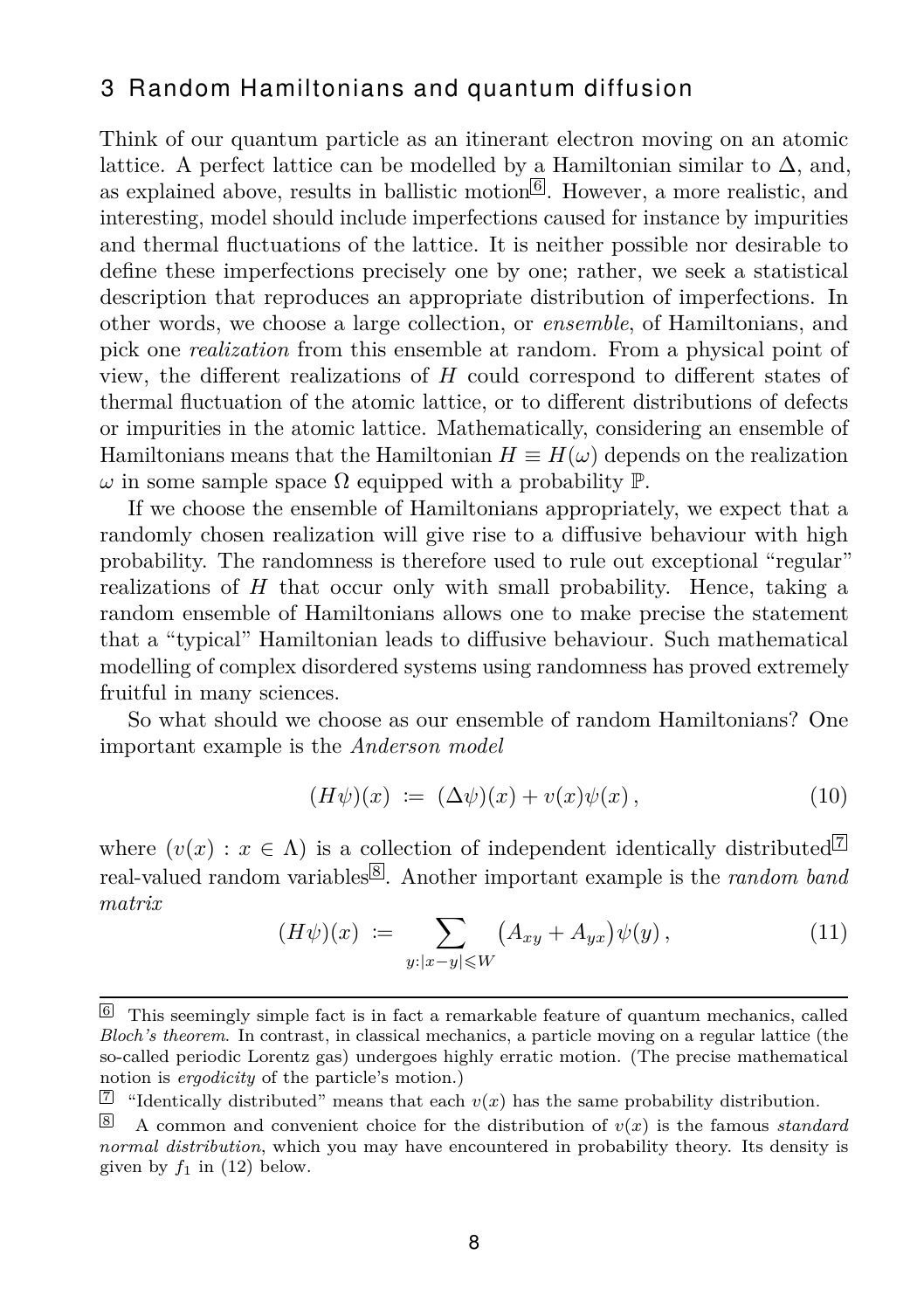### 3 Random Hamiltonians and quantum diffusion

Think of our quantum particle as an itinerant electron moving on an atomic lattice. A perfect lattice can be modelled by a Hamiltonian similar to  $\Delta$ , and, as explained above, results in ballistic motion<sup>[[6](#page-7-0)]</sup>. However, a more realistic, and interesting, model should include imperfections caused for instance by impurities and thermal fluctuations of the lattice. It is neither possible nor desirable to define these imperfections precisely one by one; rather, we seek a statistical description that reproduces an appropriate distribution of imperfections. In other words, we choose a large collection, or *ensemble*, of Hamiltonians, and pick one *realization* from this ensemble at random. From a physical point of view, the different realizations of *H* could correspond to different states of thermal fluctuation of the atomic lattice, or to different distributions of defects or impurities in the atomic lattice. Mathematically, considering an ensemble of Hamiltonians means that the Hamiltonian  $H \equiv H(\omega)$  depends on the realization  $\omega$  in some sample space  $\Omega$  equipped with a probability  $\mathbb{P}$ .

If we choose the ensemble of Hamiltonians appropriately, we expect that a randomly chosen realization will give rise to a diffusive behaviour with high probability. The randomness is therefore used to rule out exceptional "regular" realizations of *H* that occur only with small probability. Hence, taking a random ensemble of Hamiltonians allows one to make precise the statement that a "typical" Hamiltonian leads to diffusive behaviour. Such mathematical modelling of complex disordered systems using randomness has proved extremely fruitful in many sciences.

So what should we choose as our ensemble of random Hamiltonians? One important example is the *Anderson model*

<span id="page-7-3"></span>
$$
(H\psi)(x) := (\Delta \psi)(x) + v(x)\psi(x), \qquad (10)
$$

<span id="page-7-4"></span>where  $(v(x) : x \in \Lambda)$  is a collection of independent identically distributed  $\mathbb{Z}$ real-valued random variables<sup>[[8](#page-7-2)]</sup>. Another important example is the *random band matrix*

$$
(H\psi)(x) := \sum_{y:|x-y| \leqslant W} (A_{xy} + A_{yx})\psi(y), \qquad (11)
$$

<span id="page-7-0"></span> $6$  This seemingly simple fact is in fact a remarkable feature of quantum mechanics, called *Bloch's theorem*. In contrast, in classical mechanics, a particle moving on a regular lattice (the so-called periodic Lorentz gas) undergoes highly erratic motion. (The precise mathematical notion is *ergodicity* of the particle's motion.)

<span id="page-7-1"></span> $\mathbb{Z}$  "Identically distributed" means that each  $v(x)$  has the same probability distribution.

<span id="page-7-2"></span><sup>8</sup> A common and convenient choice for the distribution of  $v(x)$  is the famous *standard normal distribution*, which you may have encountered in probability theory. Its density is given by  $f_1$  in [\(12\)](#page-8-0) below.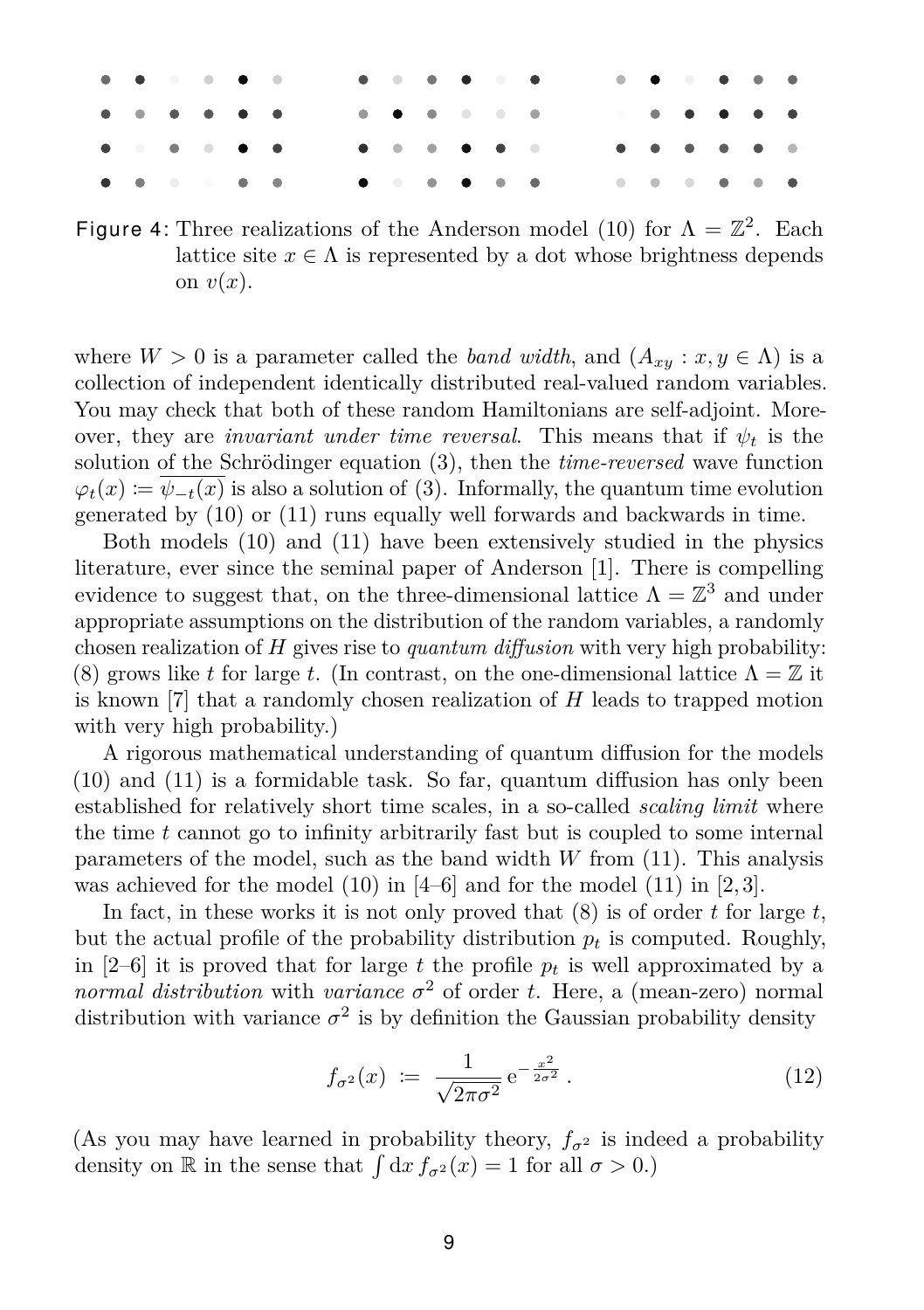|  |  |  |  |  |  | .            |  |  |  |
|--|--|--|--|--|--|--------------|--|--|--|
|  |  |  |  |  |  |              |  |  |  |
|  |  |  |  |  |  | . <b>. .</b> |  |  |  |
|  |  |  |  |  |  |              |  |  |  |

Figure 4: Three realizations of the Anderson model [\(10\)](#page-7-3) for  $\Lambda = \mathbb{Z}^2$ . Each lattice site  $x \in \Lambda$  is represented by a dot whose brightness depends on  $v(x)$ .

where  $W > 0$  is a parameter called the *band width*, and  $(A_{xy} : x, y \in \Lambda)$  is a collection of independent identically distributed real-valued random variables. You may check that both of these random Hamiltonians are self-adjoint. Moreover, they are *invariant under time reversal*. This means that if  $\psi_t$  is the solution of the Schrödinger equation [\(3\)](#page-3-1), then the *time-reversed* wave function  $\varphi_t(x) := \psi_{-t}(x)$  is also a solution of [\(3\)](#page-3-1). Informally, the quantum time evolution generated by [\(10\)](#page-7-3) or [\(11\)](#page-7-4) runs equally well forwards and backwards in time.

Both models [\(10\)](#page-7-3) and [\(11\)](#page-7-4) have been extensively studied in the physics literature, ever since the seminal paper of Anderson [\[1\]](#page-11-1). There is compelling evidence to suggest that, on the three-dimensional lattice  $\Lambda = \mathbb{Z}^3$  and under appropriate assumptions on the distribution of the random variables, a randomly chosen realization of *H* gives rise to *quantum diffusion* with very high probability: [\(8\)](#page-6-0) grows like *t* for large *t*. (In contrast, on the one-dimensional lattice  $\Lambda = \mathbb{Z}$  it is known [\[7\]](#page-11-2) that a randomly chosen realization of *H* leads to trapped motion with very high probability.)

A rigorous mathematical understanding of quantum diffusion for the models [\(10\)](#page-7-3) and [\(11\)](#page-7-4) is a formidable task. So far, quantum diffusion has only been established for relatively short time scales, in a so-called *scaling limit* where the time *t* cannot go to infinity arbitrarily fast but is coupled to some internal parameters of the model, such as the band width *W* from [\(11\)](#page-7-4). This analysis was achieved for the model  $(10)$  in  $[4–6]$  $[4–6]$  and for the model  $(11)$  in  $[2, 3]$  $[2, 3]$ .

In fact, in these works it is not only proved that [\(8\)](#page-6-0) is of order *t* for large *t*, but the actual profile of the probability distribution  $p_t$  is computed. Roughly, in  $[2-6]$  $[2-6]$  it is proved that for large t the profile  $p_t$  is well approximated by a *normal distribution* with *variance*  $\sigma^2$  of order *t*. Here, a (mean-zero) normal distribution with variance  $\sigma^2$  is by definition the Gaussian probability density

<span id="page-8-0"></span>
$$
f_{\sigma^2}(x) := \frac{1}{\sqrt{2\pi\sigma^2}} e^{-\frac{x^2}{2\sigma^2}}.
$$
 (12)

(As you may have learned in probability theory,  $f_{\sigma^2}$  is indeed a probability density on  $\mathbb R$  in the sense that  $\int dx f_{\sigma^2}(x) = 1$  for all  $\sigma > 0$ .)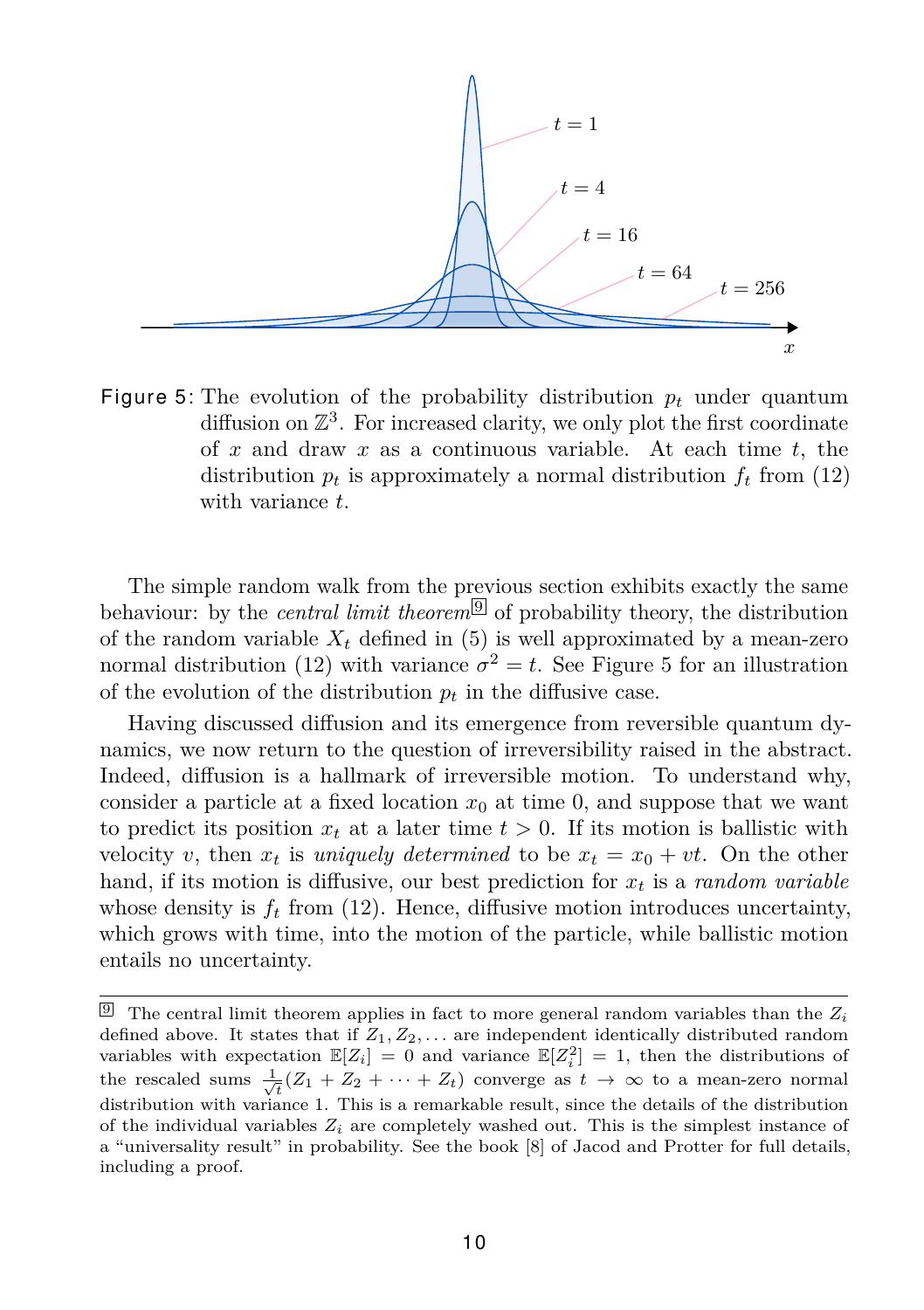

<span id="page-9-1"></span>Figure 5: The evolution of the probability distribution  $p_t$  under quantum diffusion on  $\mathbb{Z}^3$ . For increased clarity, we only plot the first coordinate of *x* and draw *x* as a continuous variable. At each time *t*, the distribution  $p_t$  is approximately a normal distribution  $f_t$  from [\(12\)](#page-8-0) with variance *t*.

The simple random walk from the previous section exhibits exactly the same behaviour: by the *central limit theorem*  $\boxed{9}$  $\boxed{9}$  $\boxed{9}$  of probability theory, the distribution of the random variable  $X_t$  defined in  $(5)$  is well approximated by a mean-zero normal distribution [\(12\)](#page-8-0) with variance  $\sigma^2 = t$ . See Figure [5](#page-9-1) for an illustration of the evolution of the distribution  $p_t$  in the diffusive case.

Having discussed diffusion and its emergence from reversible quantum dynamics, we now return to the question of irreversibility raised in the abstract. Indeed, diffusion is a hallmark of irreversible motion. To understand why, consider a particle at a fixed location  $x_0$  at time 0, and suppose that we want to predict its position  $x_t$  at a later time  $t > 0$ . If its motion is ballistic with velocity *v*, then  $x_t$  is *uniquely determined* to be  $x_t = x_0 + vt$ . On the other hand, if its motion is diffusive, our best prediction for *x<sup>t</sup>* is a *random variable* whose density is  $f_t$  from [\(12\)](#page-8-0). Hence, diffusive motion introduces uncertainty, which grows with time, into the motion of the particle, while ballistic motion entails no uncertainty.

<span id="page-9-0"></span> $\boxed{9}$  The central limit theorem applies in fact to more general random variables than the  $Z_i$ defined above. It states that if *Z*1*, Z*2*, . . .* are independent identically distributed random variables with expectation  $\mathbb{E}[Z_i] = 0$  and variance  $\mathbb{E}[Z_i^2] = 1$ , then the distributions of the rescaled sums  $\frac{1}{\sqrt{t}}(Z_1 + Z_2 + \cdots + Z_t)$  converge as  $t \to \infty$  to a mean-zero normal distribution with variance 1. This is a remarkable result, since the details of the distribution of the individual variables  $Z_i$  are completely washed out. This is the simplest instance of a "universality result" in probability. See the book [\[8\]](#page-11-0) of Jacod and Protter for full details, including a proof.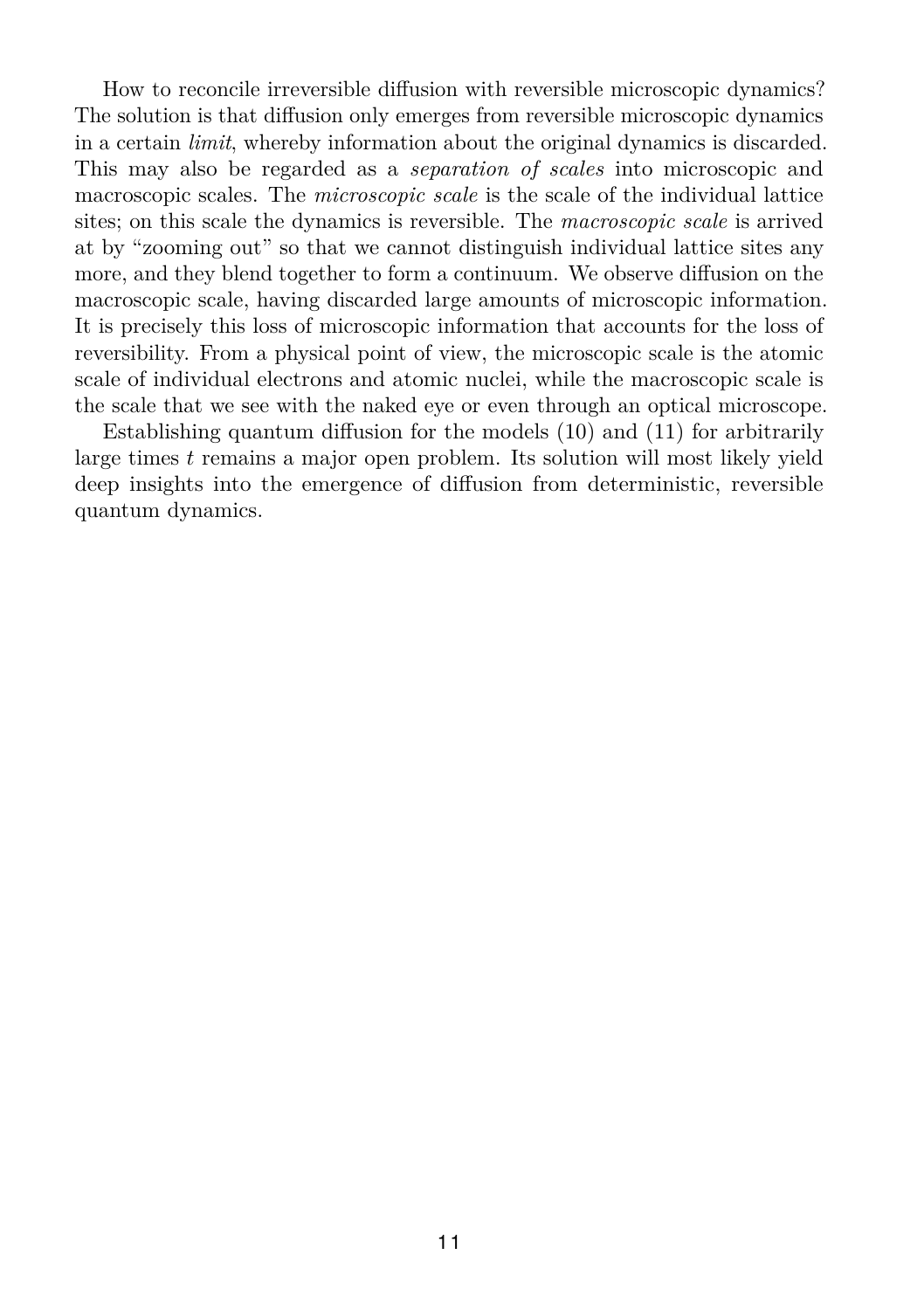How to reconcile irreversible diffusion with reversible microscopic dynamics? The solution is that diffusion only emerges from reversible microscopic dynamics in a certain *limit*, whereby information about the original dynamics is discarded. This may also be regarded as a *separation of scales* into microscopic and macroscopic scales. The *microscopic scale* is the scale of the individual lattice sites; on this scale the dynamics is reversible. The *macroscopic scale* is arrived at by "zooming out" so that we cannot distinguish individual lattice sites any more, and they blend together to form a continuum. We observe diffusion on the macroscopic scale, having discarded large amounts of microscopic information. It is precisely this loss of microscopic information that accounts for the loss of reversibility. From a physical point of view, the microscopic scale is the atomic scale of individual electrons and atomic nuclei, while the macroscopic scale is the scale that we see with the naked eye or even through an optical microscope.

Establishing quantum diffusion for the models [\(10\)](#page-7-3) and [\(11\)](#page-7-4) for arbitrarily large times *t* remains a major open problem. Its solution will most likely yield deep insights into the emergence of diffusion from deterministic, reversible quantum dynamics.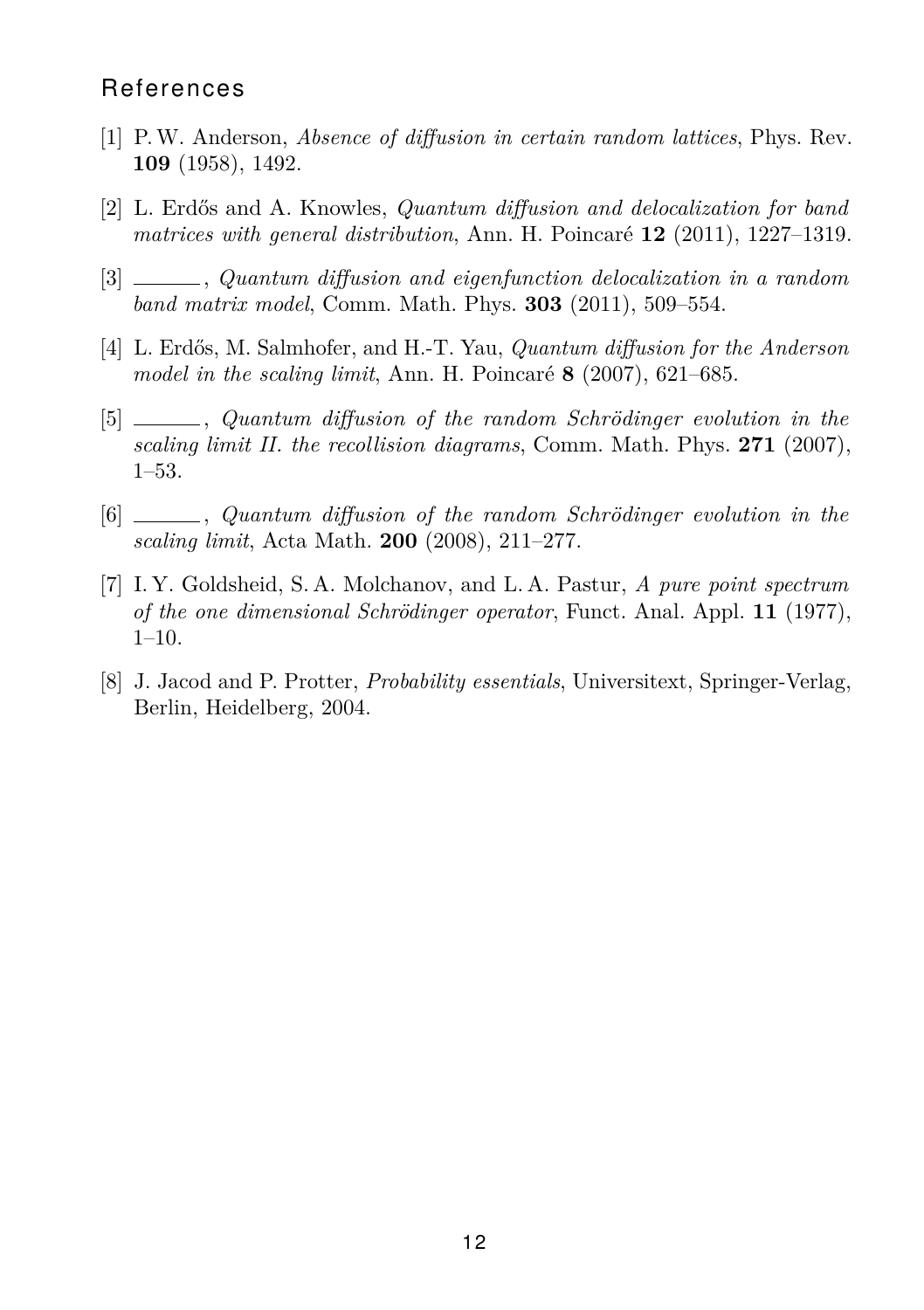#### **References**

- <span id="page-11-1"></span>[1] P.W. Anderson, *Absence of diffusion in certain random lattices*, Phys. Rev. **109** (1958), 1492.
- <span id="page-11-5"></span>[2] L. Erdős and A. Knowles, *Quantum diffusion and delocalization for band matrices with general distribution*, Ann. H. Poincaré **12** (2011), 1227–1319.
- <span id="page-11-6"></span>[3] , *Quantum diffusion and eigenfunction delocalization in a random band matrix model*, Comm. Math. Phys. **303** (2011), 509–554.
- <span id="page-11-3"></span>[4] L. Erdős, M. Salmhofer, and H.-T. Yau, *Quantum diffusion for the Anderson model in the scaling limit*, Ann. H. Poincaré **8** (2007), 621–685.
- [5] , *Quantum diffusion of the random Schrödinger evolution in the scaling limit II. the recollision diagrams*, Comm. Math. Phys. **271** (2007), 1–53.
- <span id="page-11-4"></span>[6] , *Quantum diffusion of the random Schrödinger evolution in the scaling limit*, Acta Math. **200** (2008), 211–277.
- <span id="page-11-2"></span>[7] I. Y. Goldsheid, S. A. Molchanov, and L. A. Pastur, *A pure point spectrum of the one dimensional Schrödinger operator*, Funct. Anal. Appl. **11** (1977), 1–10.
- <span id="page-11-0"></span>[8] J. Jacod and P. Protter, *Probability essentials*, Universitext, Springer-Verlag, Berlin, Heidelberg, 2004.